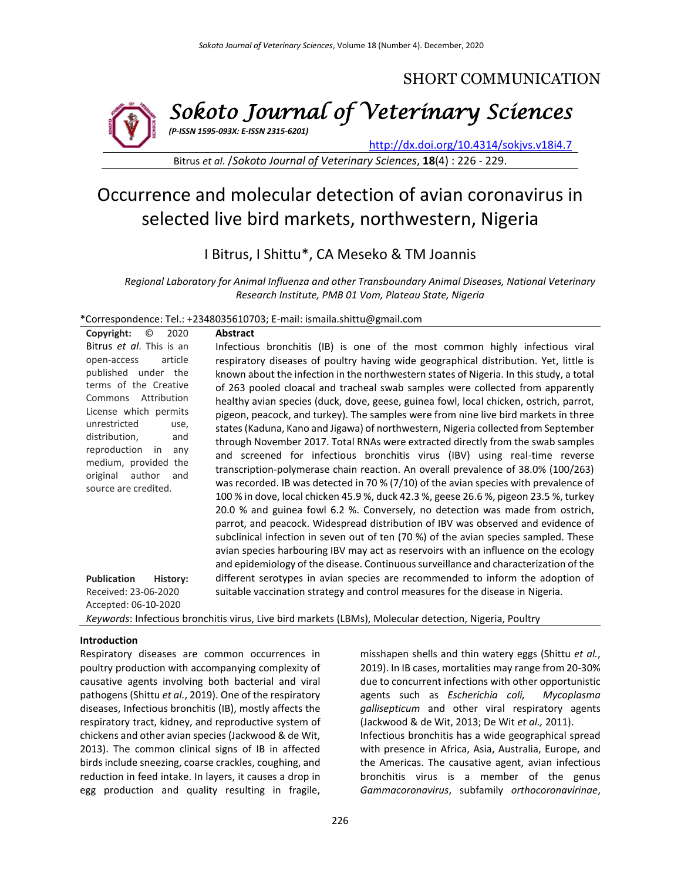# SHORT COMMUNICATION



*Sokoto Journal of Veterinary Sciences (P-ISSN 1595-093X: E-ISSN 2315-6201)*

<http://dx.doi.org/10.4314/sokjvs.v18i4.7>

Bitrus *et al*. /*Sokoto Journal of Veterinary Sciences*, **18**(4) : 226 - 229.

# Occurrence and molecular detection of avian coronavirus in selected live bird markets, northwestern, Nigeria

I Bitrus, I Shittu\*, CA Meseko & TM Joannis

*Regional Laboratory for Animal Influenza and other Transboundary Animal Diseases, National Veterinary Research Institute, PMB 01 Vom, Plateau State, Nigeria*

\*Correspondence: Tel.: +2348035610703; E-mail[: ismaila.shittu@gmail.com](mailto:ismaila.shittu@gmail.com)

| Copyright:<br>$\odot$<br>2020                                                                                                                                                                                                                                                                             | <b>Abstract</b>                                                                                                                                                                                                                                                                                                                                                                                                                                                                                                                                                                                                                                                                                                                                                                                                                                                                                                                                                                                                                                                                                                                                                                                                                                                                                                                                                                                                        |  |  |  |  |
|-----------------------------------------------------------------------------------------------------------------------------------------------------------------------------------------------------------------------------------------------------------------------------------------------------------|------------------------------------------------------------------------------------------------------------------------------------------------------------------------------------------------------------------------------------------------------------------------------------------------------------------------------------------------------------------------------------------------------------------------------------------------------------------------------------------------------------------------------------------------------------------------------------------------------------------------------------------------------------------------------------------------------------------------------------------------------------------------------------------------------------------------------------------------------------------------------------------------------------------------------------------------------------------------------------------------------------------------------------------------------------------------------------------------------------------------------------------------------------------------------------------------------------------------------------------------------------------------------------------------------------------------------------------------------------------------------------------------------------------------|--|--|--|--|
| Bitrus et al. This is an<br>article<br>open-access<br>published under the<br>terms of the Creative<br>Commons Attribution<br>License which permits<br>unrestricted<br>use,<br>distribution,<br>and<br>reproduction in<br>any<br>medium, provided the<br>original<br>author<br>and<br>source are credited. | Infectious bronchitis (IB) is one of the most common highly infectious viral<br>respiratory diseases of poultry having wide geographical distribution. Yet, little is<br>known about the infection in the northwestern states of Nigeria. In this study, a total<br>of 263 pooled cloacal and tracheal swab samples were collected from apparently<br>healthy avian species (duck, dove, geese, guinea fowl, local chicken, ostrich, parrot,<br>pigeon, peacock, and turkey). The samples were from nine live bird markets in three<br>states (Kaduna, Kano and Jigawa) of northwestern, Nigeria collected from September<br>through November 2017. Total RNAs were extracted directly from the swab samples<br>and screened for infectious bronchitis virus (IBV) using real-time reverse<br>transcription-polymerase chain reaction. An overall prevalence of 38.0% (100/263)<br>was recorded. IB was detected in 70 % $(7/10)$ of the avian species with prevalence of<br>100 % in dove, local chicken 45.9 %, duck 42.3 %, geese 26.6 %, pigeon 23.5 %, turkey<br>20.0 % and guinea fowl 6.2 %. Conversely, no detection was made from ostrich,<br>parrot, and peacock. Widespread distribution of IBV was observed and evidence of<br>subclinical infection in seven out of ten (70 %) of the avian species sampled. These<br>avian species harbouring IBV may act as reservoirs with an influence on the ecology |  |  |  |  |
| <b>Publication</b><br>History:<br>Received: 23-06-2020                                                                                                                                                                                                                                                    | different serotypes in avian species are recommended to inform the adoption of<br>suitable vaccination strategy and control measures for the disease in Nigeria.                                                                                                                                                                                                                                                                                                                                                                                                                                                                                                                                                                                                                                                                                                                                                                                                                                                                                                                                                                                                                                                                                                                                                                                                                                                       |  |  |  |  |
| Accepted: 06-10-2020                                                                                                                                                                                                                                                                                      |                                                                                                                                                                                                                                                                                                                                                                                                                                                                                                                                                                                                                                                                                                                                                                                                                                                                                                                                                                                                                                                                                                                                                                                                                                                                                                                                                                                                                        |  |  |  |  |
| Keywords: Infectious bronchitis virus, Live bird markets (LBMs), Molecular detection, Nigeria, Poultry                                                                                                                                                                                                    |                                                                                                                                                                                                                                                                                                                                                                                                                                                                                                                                                                                                                                                                                                                                                                                                                                                                                                                                                                                                                                                                                                                                                                                                                                                                                                                                                                                                                        |  |  |  |  |

#### **Introduction**

Respiratory diseases are common occurrences in poultry production with accompanying complexity of causative agents involving both bacterial and viral pathogens (Shittu *et al.*, 2019). One of the respiratory diseases, Infectious bronchitis (IB), mostly affects the respiratory tract, kidney, and reproductive system of chickens and other avian species (Jackwood & de Wit, 2013). The common clinical signs of IB in affected birds include sneezing, coarse crackles, coughing, and reduction in feed intake. In layers, it causes a drop in egg production and quality resulting in fragile, misshapen shells and thin watery eggs (Shittu *et al.*, 2019). In IB cases, mortalities may range from 20-30% due to concurrent infections with other opportunistic agents such as *Escherichia coli, Mycoplasma gallisepticum* and other viral respiratory agents (Jackwood & de Wit, 2013; De Wit *et al.,* 2011). Infectious bronchitis has a wide geographical spread with presence in Africa, Asia, Australia, Europe, and the Americas. The causative agent, avian infectious bronchitis virus is a member of the genus *Gammacoronavirus*, subfamily *orthocoronavirinae*,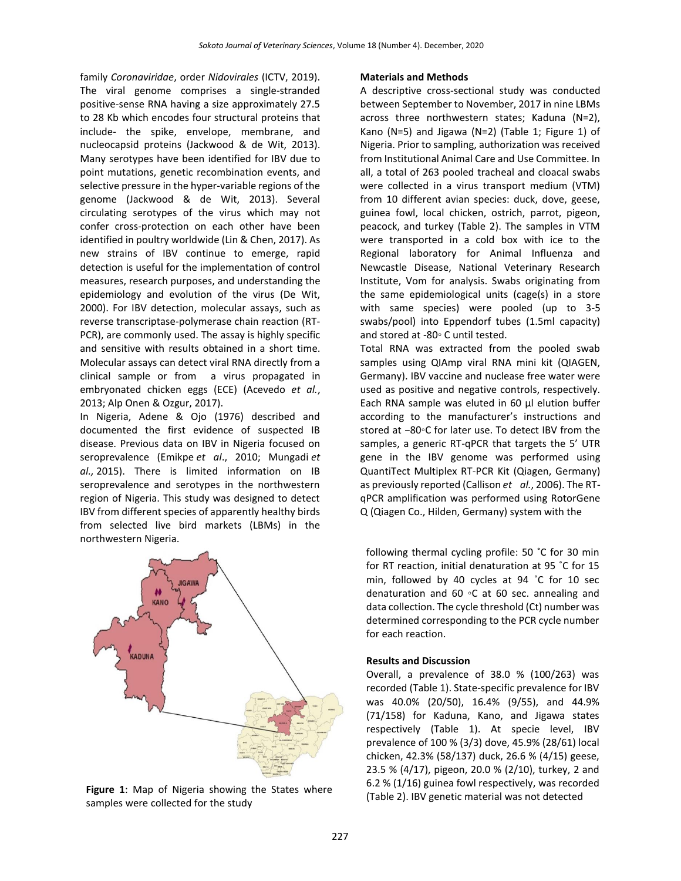family *Coronaviridae*, order *Nidovirales* (ICTV, 2019). The viral genome comprises a single-stranded positive-sense RNA having a size approximately 27.5 to 28 Kb which encodes four structural proteins that include- the spike, envelope, membrane, and nucleocapsid proteins (Jackwood & de Wit, 2013). Many serotypes have been identified for IBV due to point mutations, genetic recombination events, and selective pressure in the hyper-variable regions of the genome (Jackwood & de Wit, 2013). Several circulating serotypes of the virus which may not confer cross-protection on each other have been identified in poultry worldwide (Lin & Chen, 2017). As new strains of IBV continue to emerge, rapid detection is useful for the implementation of control measures, research purposes, and understanding the epidemiology and evolution of the virus (De Wit, 2000). For IBV detection, molecular assays, such as reverse transcriptase-polymerase chain reaction (RT-PCR), are commonly used. The assay is highly specific and sensitive with results obtained in a short time. Molecular assays can detect viral RNA directly from a clinical sample or from a virus propagated in embryonated chicken eggs (ECE) (Acevedo *et al.*, 2013; Alp Onen & Ozgur, 2017).

In Nigeria, Adene & Ojo (1976) described and documented the first evidence of suspected IB disease. Previous data on IBV in Nigeria focused on seroprevalence (Emikpe *et al*., 2010; Mungadi *et al.,* 2015). There is limited information on IB seroprevalence and serotypes in the northwestern region of Nigeria. This study was designed to detect IBV from different species of apparently healthy birds from selected live bird markets (LBMs) in the northwestern Nigeria.



Figure 1: Map of Nigeria showing the States where **Figure 1**: Map of Nigeria showing the States where **Figure 1**: IBV genetic material was not detected samples were collected for the study

#### **Materials and Methods**

A descriptive cross-sectional study was conducted between September to November, 2017 in nine LBMs across three northwestern states; Kaduna (N=2), Kano (N=5) and Jigawa (N=2) (Table 1; Figure 1) of Nigeria. Prior to sampling, authorization was received from Institutional Animal Care and Use Committee. In all, a total of 263 pooled tracheal and cloacal swabs were collected in a virus transport medium (VTM) from 10 different avian species: duck, dove, geese, guinea fowl, local chicken, ostrich, parrot, pigeon, peacock, and turkey (Table 2). The samples in VTM were transported in a cold box with ice to the Regional laboratory for Animal Influenza and Newcastle Disease, National Veterinary Research Institute, Vom for analysis. Swabs originating from the same epidemiological units (cage(s) in a store with same species) were pooled (up to 3-5 swabs/pool) into Eppendorf tubes (1.5ml capacity) and stored at -80◦ C until tested.

Total RNA was extracted from the pooled swab samples using QIAmp viral RNA mini kit (QIAGEN, Germany). IBV vaccine and nuclease free water were used as positive and negative controls, respectively. Each RNA sample was eluted in 60 μl elution buffer according to the manufacturer's instructions and stored at −80◦C for later use. To detect IBV from the samples, a generic RT-qPCR that targets the 5' UTR gene in the IBV genome was performed using QuantiTect Multiplex RT-PCR Kit (Qiagen, Germany) as previously reported (Callison *et al.*, 2006). The RTqPCR amplification was performed using RotorGene Q (Qiagen Co., Hilden, Germany) system with the

following thermal cycling profile: 50 ˚C for 30 min for RT reaction, initial denaturation at 95 ˚C for 15 min, followed by 40 cycles at 94 ˚C for 10 sec denaturation and 60 ◦C at 60 sec. annealing and data collection. The cycle threshold (Ct) number was determined corresponding to the PCR cycle number for each reaction.

#### **Results and Discussion**

Overall, a prevalence of 38.0 % (100/263) was recorded (Table 1). State-specific prevalence for IBV was 40.0% (20/50), 16.4% (9/55), and 44.9% (71/158) for Kaduna, Kano, and Jigawa states respectively (Table 1). At specie level, IBV prevalence of 100 % (3/3) dove, 45.9% (28/61) local chicken, 42.3% (58/137) duck, 26.6 % (4/15) geese, 23.5 % (4/17), pigeon, 20.0 % (2/10), turkey, 2 and 6.2 % (1/16) guinea fowl respectively, was recorded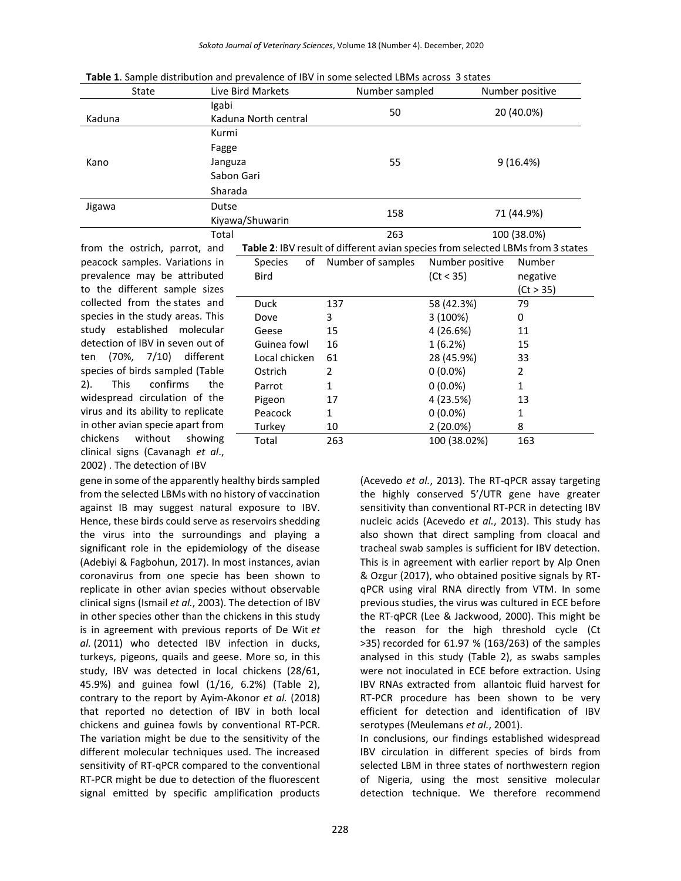| State                                                                                                                  | Live Bird Markets             | Number sampled | Number positive |  |
|------------------------------------------------------------------------------------------------------------------------|-------------------------------|----------------|-----------------|--|
| Kaduna                                                                                                                 | Igabi<br>Kaduna North central | 50             | 20 (40.0%)      |  |
|                                                                                                                        | Kurmi                         |                | 9(16.4%)        |  |
|                                                                                                                        | Fagge                         | 55             |                 |  |
| Kano                                                                                                                   | Janguza                       |                |                 |  |
|                                                                                                                        | Sabon Gari                    |                |                 |  |
|                                                                                                                        | Sharada                       |                |                 |  |
| Jigawa                                                                                                                 | Dutse                         | 158            | 71 (44.9%)      |  |
|                                                                                                                        | Kiyawa/Shuwarin               |                |                 |  |
|                                                                                                                        | Total                         | 263            | 100 (38.0%)     |  |
| <b>Table 2:</b> IBV result of different avian species from selected LBMs from 3 state<br>from the ostrich, parrot, and |                               |                |                 |  |

from the ostrich, parrot, and peacock samples. Variations in prevalence may be attributed to the different sample sizes collected from the states and species in the study areas. This study established molecular detection of IBV in seven out of ten (70%, 7/10) different species of birds sampled (Table 2). This confirms the widespread circulation of the virus and its ability to replicate in other avian specie apart from chickens without showing clinical signs (Cavanagh *et al*., 2002) . The detection of IBV

| wa/Shuwarin   |                                                                                 | 158                  |                 | 71 (44.Y%)   |  |
|---------------|---------------------------------------------------------------------------------|----------------------|-----------------|--------------|--|
| ı١            |                                                                                 | 263                  | 100 (38.0%)     |              |  |
|               | Table 2: IBV result of different avian species from selected LBMs from 3 states |                      |                 |              |  |
|               | Species                                                                         | of Number of samples | Number positive | Number       |  |
|               | <b>Bird</b>                                                                     |                      | (Ct < 35)       | negative     |  |
|               |                                                                                 |                      |                 | (Ct > 35)    |  |
|               | <b>Duck</b>                                                                     | 137                  | 58 (42.3%)      | 79           |  |
|               | Dove                                                                            | 3                    | 3 (100%)        | 0            |  |
|               | Geese                                                                           | 15                   | 4 (26.6%)       | 11           |  |
|               | Guinea fowl                                                                     | 16                   | 1(6.2%)         | 15           |  |
| Local chicken |                                                                                 | 61                   | 28 (45.9%)      | 33           |  |
|               | Ostrich                                                                         | $\mathfrak z$        | $0(0.0\%)$      | 2            |  |
|               | Parrot                                                                          | $\mathbf{1}$         | $0(0.0\%)$      | $\mathbf{1}$ |  |
|               | Pigeon                                                                          | 17                   | 4 (23.5%)       | 13           |  |
|               | Peacock                                                                         | $\mathbf{1}$         | $0(0.0\%)$      | 1            |  |
|               | Turkey                                                                          | 10                   | 2 (20.0%)       | 8            |  |
|               | Total                                                                           | 263                  | 100 (38.02%)    | 163          |  |

gene in some of the apparently healthy birds sampled from the selected LBMs with no history of vaccination against IB may suggest natural exposure to IBV. Hence, these birds could serve as reservoirs shedding the virus into the surroundings and playing a significant role in the epidemiology of the disease (Adebiyi & Fagbohun, 2017). In most instances, avian coronavirus from one specie has been shown to replicate in other avian species without observable clinical signs (Ismail *et al.*, 2003). The detection of IBV in other species other than the chickens in this study is in agreement with previous reports of De Wit *et al.* (2011) who detected IBV infection in ducks, turkeys, pigeons, quails and geese. More so, in this study, IBV was detected in local chickens (28/61, 45.9%) and guinea fowl (1/16, 6.2%) (Table 2), contrary to the report by Ayim-Akonor *et al.* (2018) that reported no detection of IBV in both local chickens and guinea fowls by conventional RT-PCR. The variation might be due to the sensitivity of the different molecular techniques used. The increased sensitivity of RT-qPCR compared to the conventional RT-PCR might be due to detection of the fluorescent signal emitted by specific amplification products

(Acevedo *et al.*, 2013). The RT-qPCR assay targeting the highly conserved 5'/UTR gene have greater sensitivity than conventional RT-PCR in detecting IBV nucleic acids (Acevedo *et al.*, 2013). This study has also shown that direct sampling from cloacal and tracheal swab samples is sufficient for IBV detection. This is in agreement with earlier report by Alp Onen & Ozgur (2017), who obtained positive signals by RTqPCR using viral RNA directly from VTM. In some previous studies, the virus was cultured in ECE before the RT-qPCR (Lee & Jackwood, 2000). This might be the reason for the high threshold cycle (Ct >35) recorded for 61.97 % (163/263) of the samples analysed in this study (Table 2), as swabs samples were not inoculated in ECE before extraction. Using IBV RNAs extracted from allantoic fluid harvest for RT-PCR procedure has been shown to be very efficient for detection and identification of IBV serotypes (Meulemans *et al.*, 2001).

In conclusions, our findings established widespread IBV circulation in different species of birds from selected LBM in three states of northwestern region of Nigeria, using the most sensitive molecular detection technique. We therefore recommend